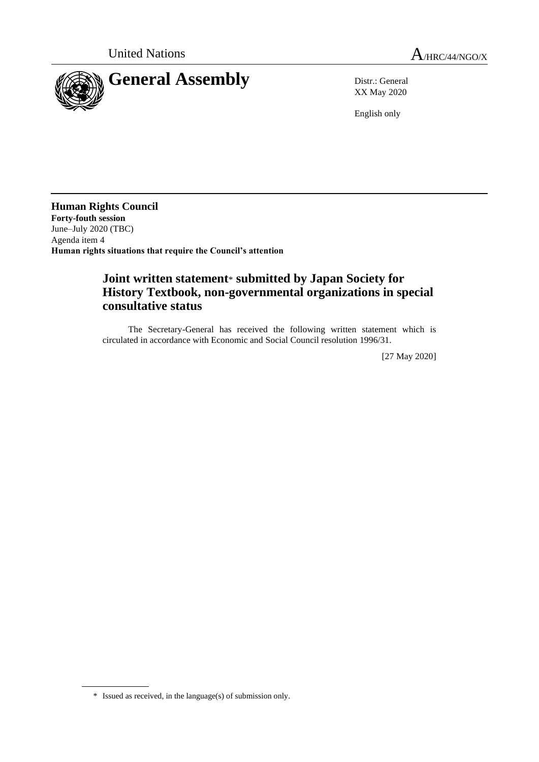

XX May 2020

English only

**Human Rights Council Forty-fouth session** June–July 2020 (TBC) Agenda item 4 **Human rights situations that require the Council's attention**

## **Joint written statement**\* **submitted by Japan Society for History Textbook, non-governmental organizations in special consultative status**

The Secretary-General has received the following written statement which is circulated in accordance with Economic and Social Council resolution 1996/31.

[27 May 2020]

<sup>\*</sup> Issued as received, in the language(s) of submission only.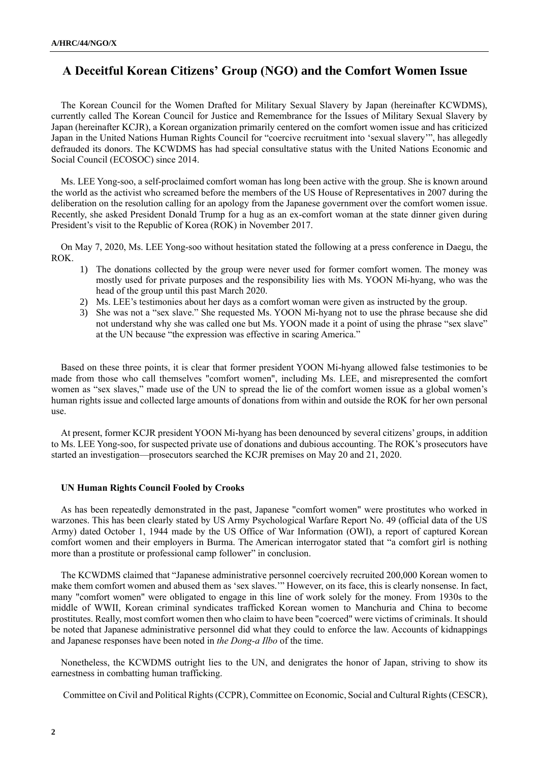## **A Deceitful Korean Citizens' Group (NGO) and the Comfort Women Issue**

The Korean Council for the Women Drafted for Military Sexual Slavery by Japan (hereinafter KCWDMS), currently called The Korean Council for Justice and Remembrance for the Issues of Military Sexual Slavery by Japan (hereinafter KCJR), a Korean organization primarily centered on the comfort women issue and has criticized Japan in the United Nations Human Rights Council for "coercive recruitment into 'sexual slavery'", has allegedly defrauded its donors. The KCWDMS has had special consultative status with the United Nations Economic and Social Council (ECOSOC) since 2014.

Ms. LEE Yong-soo, a self-proclaimed comfort woman has long been active with the group. She is known around the world as the activist who screamed before the members of the US House of Representatives in 2007 during the deliberation on the resolution calling for an apology from the Japanese government over the comfort women issue. Recently, she asked President Donald Trump for a hug as an ex-comfort woman at the state dinner given during President's visit to the Republic of Korea (ROK) in November 2017.

On May 7, 2020, Ms. LEE Yong-soo without hesitation stated the following at a press conference in Daegu, the ROK.

- 1) The donations collected by the group were never used for former comfort women. The money was mostly used for private purposes and the responsibility lies with Ms. YOON Mi-hyang, who was the head of the group until this past March 2020.
- 2) Ms. LEE's testimonies about her days as a comfort woman were given as instructed by the group.
- 3) She was not a "sex slave." She requested Ms. YOON Mi-hyang not to use the phrase because she did not understand why she was called one but Ms. YOON made it a point of using the phrase "sex slave" at the UN because "the expression was effective in scaring America."

Based on these three points, it is clear that former president YOON Mi-hyang allowed false testimonies to be made from those who call themselves "comfort women", including Ms. LEE, and misrepresented the comfort women as "sex slaves," made use of the UN to spread the lie of the comfort women issue as a global women's human rights issue and collected large amounts of donations from within and outside the ROK for her own personal use.

At present, former KCJR president YOON Mi-hyang has been denounced by several citizens' groups, in addition to Ms. LEE Yong-soo, for suspected private use of donations and dubious accounting. The ROK's prosecutors have started an investigation—prosecutors searched the KCJR premises on May 20 and 21, 2020.

## **UN Human Rights Council Fooled by Crooks**

As has been repeatedly demonstrated in the past, Japanese "comfort women" were prostitutes who worked in warzones. This has been clearly stated by US Army Psychological Warfare Report No. 49 (official data of the US Army) dated October 1, 1944 made by the US Office of War Information (OWI), a report of captured Korean comfort women and their employers in Burma. The American interrogator stated that "a comfort girl is nothing more than a prostitute or professional camp follower" in conclusion.

The KCWDMS claimed that "Japanese administrative personnel coercively recruited 200,000 Korean women to make them comfort women and abused them as 'sex slaves.'" However, on its face, this is clearly nonsense. In fact, many "comfort women" were obligated to engage in this line of work solely for the money. From 1930s to the middle of WWII, Korean criminal syndicates trafficked Korean women to Manchuria and China to become prostitutes. Really, most comfort women then who claim to have been "coerced" were victims of criminals. It should be noted that Japanese administrative personnel did what they could to enforce the law. Accounts of kidnappings and Japanese responses have been noted in *the Dong-a Ilbo* of the time.

Nonetheless, the KCWDMS outright lies to the UN, and denigrates the honor of Japan, striving to show its earnestness in combatting human trafficking.

Committee on Civil and Political Rights (CCPR), Committee on Economic, Social and Cultural Rights (CESCR),